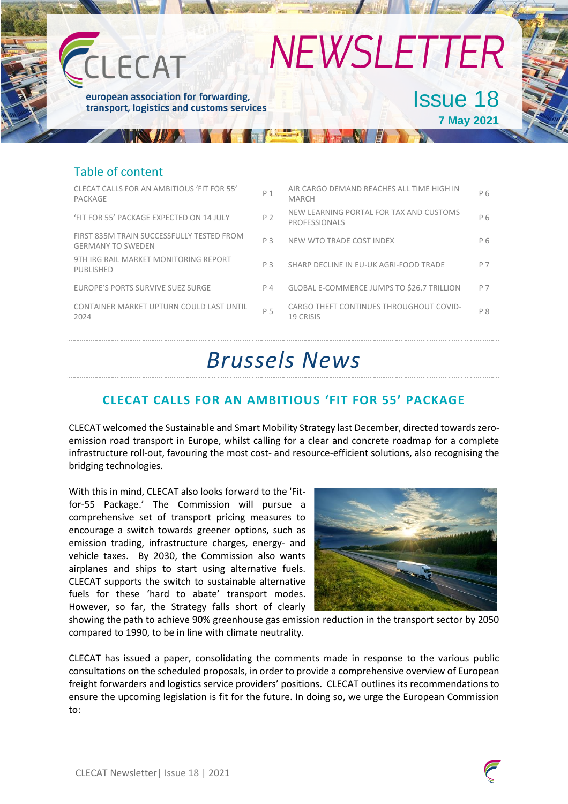

### Table of content

| CLECAT CALLS FOR AN AMBITIOUS 'FIT FOR 55'<br>PACKAGE                 | P <sub>1</sub> | AIR CARGO DEMAND REACHES ALL TIME HIGH IN<br><b>MARCH</b>       | P 6            |
|-----------------------------------------------------------------------|----------------|-----------------------------------------------------------------|----------------|
| 'FIT FOR 55' PACKAGE EXPECTED ON 14 JULY                              | P 2            | NEW LEARNING PORTAL FOR TAX AND CUSTOMS<br><b>PROFESSIONALS</b> | P 6            |
| FIRST 835M TRAIN SUCCESSFULLY TESTED FROM<br><b>GERMANY TO SWEDEN</b> | P 3            | NEW WTO TRADE COST INDEX                                        | P 6            |
| 9TH IRG RAIL MARKET MONITORING REPORT<br><b>PUBLISHED</b>             | P <sub>3</sub> | SHARP DECLINE IN EU-UK AGRI-FOOD TRADE                          | P 7            |
| EUROPE'S PORTS SURVIVE SUEZ SURGE                                     | P 4            | <b>GLOBAL E-COMMERCE JUMPS TO \$26.7 TRILLION</b>               | P 7            |
| CONTAINER MARKET UPTURN COULD LAST UNTIL<br>2024                      | P 5            | CARGO THEFT CONTINUES THROUGHOUT COVID-<br>19 CRISIS            | P <sub>8</sub> |
|                                                                       |                |                                                                 |                |

# *Brussels News*

# **CLECAT CALLS FOR AN AMBITIOUS 'FIT FOR 55' PACKAGE**

CLECAT welcomed the Sustainable and Smart Mobility Strategy last December, directed towards zeroemission road transport in Europe, whilst calling for a clear and concrete roadmap for a complete infrastructure roll-out, favouring the most cost- and resource-efficient solutions, also recognising the bridging technologies.

With this in mind, CLECAT also looks forward to the 'Fitfor-55 Package.' The Commission will pursue a comprehensive set of transport pricing measures to encourage a switch towards greener options, such as emission trading, infrastructure charges, energy- and vehicle taxes. By 2030, the Commission also wants airplanes and ships to start using alternative fuels. CLECAT supports the switch to sustainable alternative fuels for these 'hard to abate' transport modes. However, so far, the Strategy falls short of clearly



showing the path to achieve 90% greenhouse gas emission reduction in the transport sector by 2050 compared to 1990, to be in line with climate neutrality.

CLECAT has issued a paper, consolidating the comments made in response to the various public consultations on the scheduled proposals, in order to provide a comprehensive overview of European freight forwarders and logistics service providers' positions. CLECAT outlines its recommendations to ensure the upcoming legislation is fit for the future. In doing so, we urge the European Commission to:

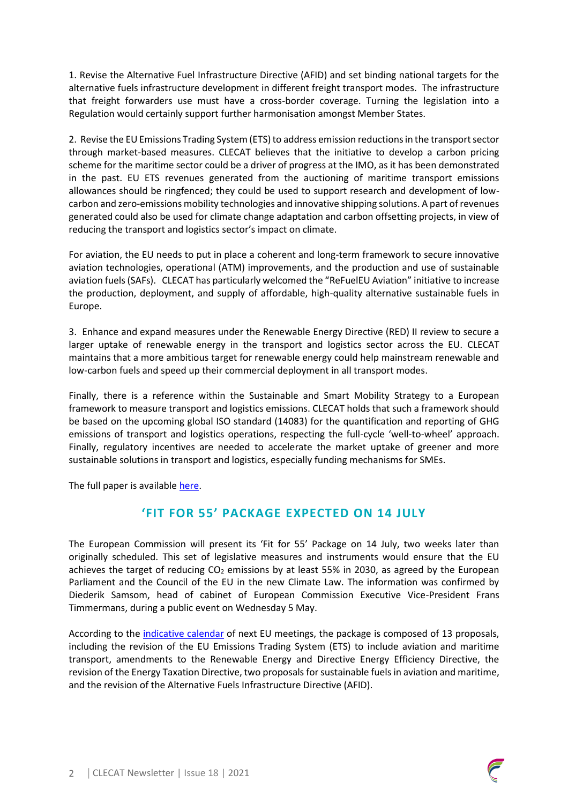1. Revise the Alternative Fuel Infrastructure Directive (AFID) and set binding national targets for the alternative fuels infrastructure development in different freight transport modes. The infrastructure that freight forwarders use must have a cross-border coverage. Turning the legislation into a Regulation would certainly support further harmonisation amongst Member States.

2. Revise the EU Emissions Trading System (ETS) to address emission reductions in the transport sector through market-based measures. CLECAT believes that the initiative to develop a carbon pricing scheme for the maritime sector could be a driver of progress at the IMO, as it has been demonstrated in the past. EU ETS revenues generated from the auctioning of maritime transport emissions allowances should be ringfenced; they could be used to support research and development of lowcarbon and zero-emissions mobility technologies and innovative shipping solutions. A part of revenues generated could also be used for climate change adaptation and carbon offsetting projects, in view of reducing the transport and logistics sector's impact on climate.

For aviation, the EU needs to put in place a coherent and long-term framework to secure innovative aviation technologies, operational (ATM) improvements, and the production and use of sustainable aviation fuels (SAFs). CLECAT has particularly welcomed the "ReFuelEU Aviation" initiative to increase the production, deployment, and supply of affordable, high-quality alternative sustainable fuels in Europe.

3. Enhance and expand measures under the Renewable Energy Directive (RED) II review to secure a larger uptake of renewable energy in the transport and logistics sector across the EU. CLECAT maintains that a more ambitious target for renewable energy could help mainstream renewable and low-carbon fuels and speed up their commercial deployment in all transport modes.

Finally, there is a reference within the Sustainable and Smart Mobility Strategy to a European framework to measure transport and logistics emissions. CLECAT holds that such a framework should be based on the upcoming global ISO standard (14083) for the quantification and reporting of GHG emissions of transport and logistics operations, respecting the full-cycle 'well-to-wheel' approach. Finally, regulatory incentives are needed to accelerate the market uptake of greener and more sustainable solutions in transport and logistics, especially funding mechanisms for SMEs.

The full paper is available [here.](https://www.clecat.org/news/press-releases/clecat-calls-for-an-ambitious-fit-for-55-package)

# **'FIT FOR 55' PACKAGE EXPECTED ON 14 JULY**

The European Commission will present its 'Fit for 55' Package on 14 July, two weeks later than originally scheduled. This set of legislative measures and instruments would ensure that the EU achieves the target of reducing  $CO<sub>2</sub>$  emissions by at least 55% in 2030, as agreed by the European Parliament and the Council of the EU in the new Climate Law. The information was confirmed by Diederik Samsom, head of cabinet of European Commission Executive Vice-President Frans Timmermans, during a public event on Wednesday 5 May.

According to the [indicative calendar](https://twitter.com/HendrikKafsack/status/1389201812150960134) of next EU meetings, the package is composed of 13 proposals, including the revision of the EU Emissions Trading System (ETS) to include aviation and maritime transport, amendments to the Renewable Energy and Directive Energy Efficiency Directive, the revision of the Energy Taxation Directive, two proposals for sustainable fuels in aviation and maritime, and the revision of the Alternative Fuels Infrastructure Directive (AFID).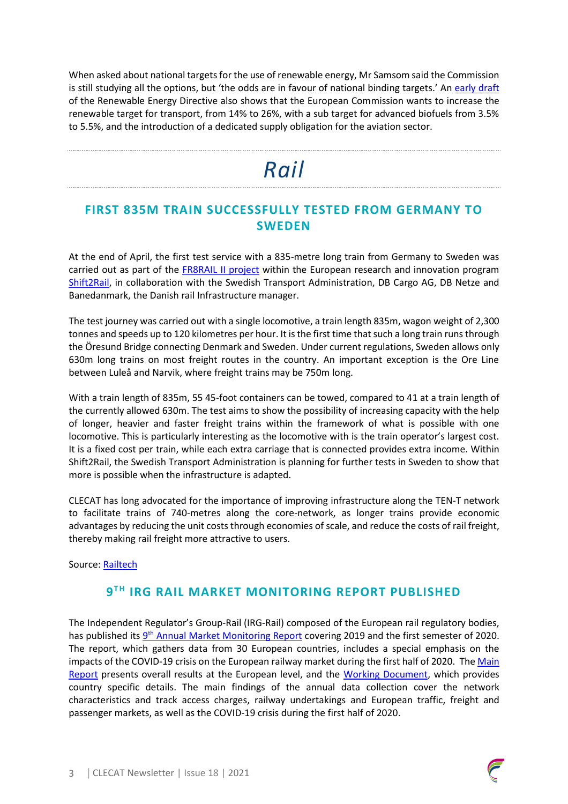When asked about national targets for the use of renewable energy, Mr Samsom said the Commission is still studying all the options, but 'the odds are in favour of national binding targets.' An [early draft](https://static1.squarespace.com/static/602a953efff66b0cea7df905/t/608f987a8f06a439f00f65ac/1620023419059/EC+2021+-+DRAFT+REDII+Legal+Proposal.pdf) of the Renewable Energy Directive also shows that the European Commission wants to increase the renewable target for transport, from 14% to 26%, with a sub target for advanced biofuels from 3.5% to 5.5%, and the introduction of a dedicated supply obligation for the aviation sector.

# *Rail*

# **FIRST 835M TRAIN SUCCESSFULLY TESTED FROM GERMANY TO SWEDEN**

At the end of April, the first test service with a 835-metre long train from Germany to Sweden was carried out as part of the [FR8RAIL II project](https://projects.shift2rail.org/s2r_ip5_n.aspx?p=FR8RAIL%20ii) within the European research and innovation program [Shift2Rail,](https://shift2rail.org/) in collaboration with the Swedish Transport Administration, DB Cargo AG, DB Netze and Banedanmark, the Danish rail Infrastructure manager.

The test journey was carried out with a single locomotive, a train length 835m, wagon weight of 2,300 tonnes and speeds up to 120 kilometres per hour. It is the first time that such a long train runs through the Öresund Bridge connecting Denmark and Sweden. Under current regulations, Sweden allows only 630m long trains on most freight routes in the country. An important exception is the Ore Line between Luleå and Narvik, where freight trains may be 750m long.

With a train length of 835m, 55 45-foot containers can be towed, compared to 41 at a train length of the currently allowed 630m. The test aims to show the possibility of increasing capacity with the help of longer, heavier and faster freight trains within the framework of what is possible with one locomotive. This is particularly interesting as the locomotive with is the train operator's largest cost. It is a fixed cost per train, while each extra carriage that is connected provides extra income. Within Shift2Rail, the Swedish Transport Administration is planning for further tests in Sweden to show that more is possible when the infrastructure is adapted.

CLECAT has long advocated for the importance of improving infrastructure along the TEN-T network to facilitate trains of 740-metres along the core-network, as longer trains provide economic advantages by reducing the unit costs through economies of scale, and reduce the costs of rail freight, thereby making rail freight more attractive to users.

Source: [Railtech](https://www.railtech.com/infrastructure/2021/05/03/first-835-metre-long-train-from-germany-arrived-in-sweden/)

# **9 T H IRG RAIL MARKET MONITORING REPORT PUBLISHED**

The Independent Regulator's Group-Rail (IRG-Rail) composed of the European rail regulatory bodies, has published its *9<sup>th</sup> [Annual Market Monitoring Report](https://www.irg-rail.eu/download/5/852/IRG9thMMReport-MainReport.pdf)* covering 2019 and the first semester of 2020. The report, which gathers data from 30 European countries, includes a special emphasis on the impacts of the COVID-19 crisis on the European railway market during the first half of 2020. Th[e Main](https://www.irg-rail.eu/download/5/852/IRG9thMMReport-MainReport.pdf)  [Report](https://www.irg-rail.eu/download/5/852/IRG9thMMReport-MainReport.pdf) presents overall results at the European level, and the [Working Document,](https://www.irg-rail.eu/download/5/853/IRG9thMMReport-WorkingDocument.pdf) which provides country specific details. The main findings of the annual data collection cover the network characteristics and track access charges, railway undertakings and European traffic, freight and passenger markets, as well as the COVID-19 crisis during the first half of 2020.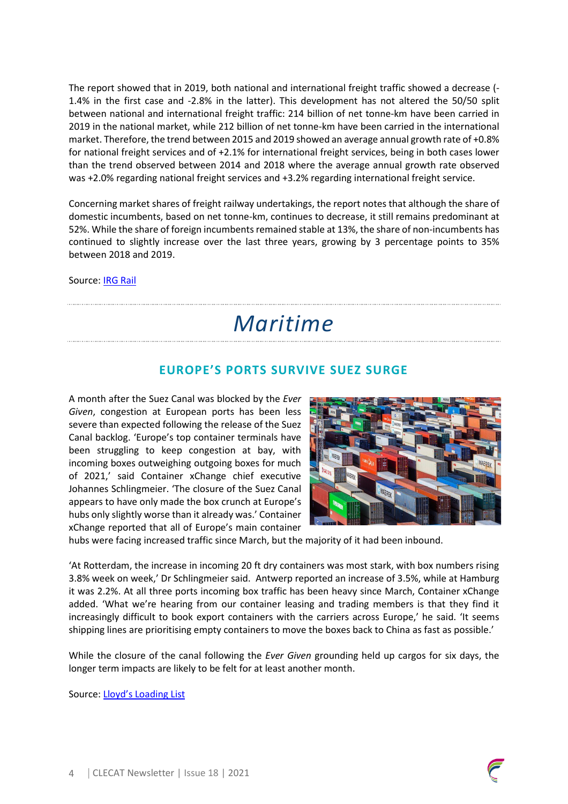The report showed that in 2019, both national and international freight traffic showed a decrease (- 1.4% in the first case and -2.8% in the latter). This development has not altered the 50/50 split between national and international freight traffic: 214 billion of net tonne-km have been carried in 2019 in the national market, while 212 billion of net tonne-km have been carried in the international market. Therefore, the trend between 2015 and 2019 showed an average annual growth rate of +0.8% for national freight services and of +2.1% for international freight services, being in both cases lower than the trend observed between 2014 and 2018 where the average annual growth rate observed was +2.0% regarding national freight services and +3.2% regarding international freight service.

Concerning market shares of freight railway undertakings, the report notes that although the share of domestic incumbents, based on net tonne-km, continues to decrease, it still remains predominant at 52%. While the share of foreign incumbents remained stable at 13%, the share of non-incumbents has continued to slightly increase over the last three years, growing by 3 percentage points to 35% between 2018 and 2019.

Source: [IRG Rail](https://www.irg-rail.eu/irg/documents/market-monitoring/312,2021.html)

# *Maritime*

# **EUROPE'S PORTS SURVIVE SUEZ SURGE**

A month after the Suez Canal was blocked by the *Ever Given*, congestion at European ports has been less severe than expected following the release of the Suez Canal backlog. 'Europe's top container terminals have been struggling to keep congestion at bay, with incoming boxes outweighing outgoing boxes for much of 2021,' said Container xChange chief executive Johannes Schlingmeier. 'The closure of the Suez Canal appears to have only made the box crunch at Europe's hubs only slightly worse than it already was.' Container xChange reported that all of Europe's main container



hubs were facing increased traffic since March, but the majority of it had been inbound.

'At Rotterdam, the increase in incoming 20 ft dry containers was most stark, with box numbers rising 3.8% week on week,' Dr Schlingmeier said. Antwerp reported an increase of 3.5%, while at Hamburg it was 2.2%. At all three ports incoming box traffic has been heavy since March, Container xChange added. 'What we're hearing from our container leasing and trading members is that they find it increasingly difficult to book export containers with the carriers across Europe,' he said. 'It seems shipping lines are prioritising empty containers to move the boxes back to China as fast as possible.'

While the closure of the canal following the *Ever Given* grounding held up cargos for six days, the longer term impacts are likely to be felt for at least another month.

Source: [Lloyd's Loading List](https://www.lloydsloadinglist.com/freight-directory/news/Europe%E2%80%99s-ports-survive-Suez-surge/78999.htm#.YJT5baHRY2y)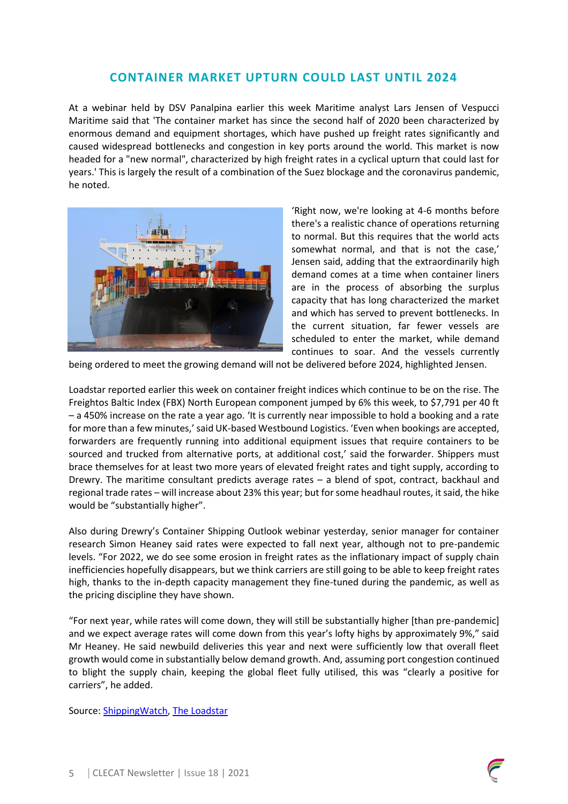### **CONTAINER MARKET UPTURN COULD LAST UNTIL 2024**

At a webinar held by DSV Panalpina earlier this week Maritime analyst Lars Jensen of Vespucci Maritime said that 'The container market has since the second half of 2020 been characterized by enormous demand and equipment shortages, which have pushed up freight rates significantly and caused widespread bottlenecks and congestion in key ports around the world. This market is now headed for a "new normal", characterized by high freight rates in a cyclical upturn that could last for years.' This is largely the result of a combination of the Suez blockage and the coronavirus pandemic, he noted.



'Right now, we're looking at 4-6 months before there's a realistic chance of operations returning to normal. But this requires that the world acts somewhat normal, and that is not the case,' Jensen said, adding that the extraordinarily high demand comes at a time when container liners are in the process of absorbing the surplus capacity that has long characterized the market and which has served to prevent bottlenecks. In the current situation, far fewer vessels are scheduled to enter the market, while demand continues to soar. And the vessels currently

being ordered to meet the growing demand will not be delivered before 2024, highlighted Jensen.

Loadstar reported earlier this week on container freight indices which continue to be on the rise. The Freightos Baltic Index (FBX) North European component jumped by 6% this week, to \$7,791 per 40 ft – a 450% increase on the rate a year ago. 'It is currently near impossible to hold a booking and a rate for more than a few minutes,' said UK-based Westbound Logistics. 'Even when bookings are accepted, forwarders are frequently running into additional equipment issues that require containers to be sourced and trucked from alternative ports, at additional cost,' said the forwarder. Shippers must brace themselves for at least two more years of elevated freight rates and tight supply, according to Drewry. The maritime consultant predicts average rates – a blend of spot, contract, backhaul and regional trade rates – will increase about 23% this year; but for some headhaul routes, it said, the hike would be "substantially higher".

Also during Drewry's Container Shipping Outlook webinar yesterday, senior manager for container research Simon Heaney said rates were expected to fall next year, although not to pre-pandemic levels. "For 2022, we do see some erosion in freight rates as the inflationary impact of supply chain inefficiencies hopefully disappears, but we think carriers are still going to be able to keep freight rates high, thanks to the in-depth capacity management they fine-tuned during the pandemic, as well as the pricing discipline they have shown.

"For next year, while rates will come down, they will still be substantially higher [than pre-pandemic] and we expect average rates will come down from this year's lofty highs by approximately 9%," said Mr Heaney. He said newbuild deliveries this year and next were sufficiently low that overall fleet growth would come in substantially below demand growth. And, assuming port congestion continued to blight the supply chain, keeping the global fleet fully utilised, this was "clearly a positive for carriers", he added.

Source: [ShippingWatch,](https://shippingwatch.com/logistics/article12951597.ece) [The Loadstar](https://theloadstar.com/box-lines-firmly-in-control-charging-what-they-like-on-almost-every-trade/)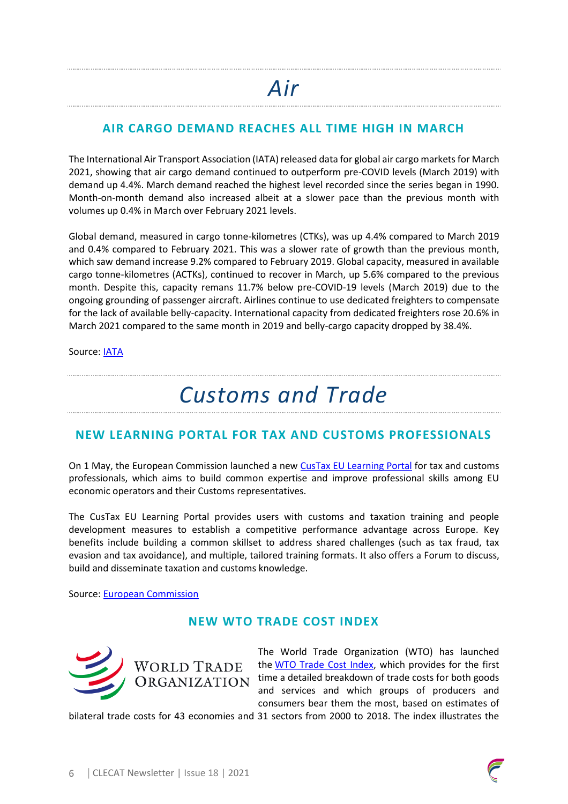# **AIR CARGO DEMAND REACHES ALL TIME HIGH IN MARCH**

The International Air Transport Association (IATA) released data for global air cargo markets for March 2021, showing that air cargo demand continued to outperform pre-COVID levels (March 2019) with demand up 4.4%. March demand reached the highest level recorded since the series began in 1990. Month-on-month demand also increased albeit at a slower pace than the previous month with volumes up 0.4% in March over February 2021 levels.

Global demand, measured in cargo tonne-kilometres (CTKs), was up 4.4% compared to March 2019 and 0.4% compared to February 2021. This was a slower rate of growth than the previous month, which saw demand increase 9.2% compared to February 2019. Global capacity, measured in available cargo tonne-kilometres (ACTKs), continued to recover in March, up 5.6% compared to the previous month. Despite this, capacity remans 11.7% below pre-COVID-19 levels (March 2019) due to the ongoing grounding of passenger aircraft. Airlines continue to use dedicated freighters to compensate for the lack of available belly-capacity. International capacity from dedicated freighters rose 20.6% in March 2021 compared to the same month in 2019 and belly-cargo capacity dropped by 38.4%.

Source: [IATA](https://www.iata.org/en/iata-repository/publications/economic-reports/air-freight-monthly-analysis---march-2021/)

# *Customs and Trade*

# **NEW LEARNING PORTAL FOR TAX AND CUSTOMS PROFESSIONALS**

On 1 May, the European Commission launched a new [CusTax EU Learning Portal](https://customs-taxation.learning.europa.eu/?redirect=0) for tax and customs professionals, which aims to build common expertise and improve professional skills among EU economic operators and their Customs representatives.

The CusTax EU Learning Portal provides users with customs and taxation training and people development measures to establish a competitive performance advantage across Europe. Key benefits include building a common skillset to address shared challenges (such as tax fraud, tax evasion and tax avoidance), and multiple, tailored training formats. It also offers a Forum to discuss, build and disseminate taxation and customs knowledge.

Source: [European Commission](https://ec.europa.eu/taxation_customs/news/new-learning-portal-tax-and-customs-professionals_en)

# **NEW WTO TRADE COST INDEX**



The World Trade Organization (WTO) has launched the [WTO Trade Cost Index,](http://tradecosts.wto.org/) which provides for the first time a detailed breakdown of trade costs for both goods and services and which groups of producers and consumers bear them the most, based on estimates of

bilateral trade costs for 43 economies and 31 sectors from 2000 to 2018. The index illustrates the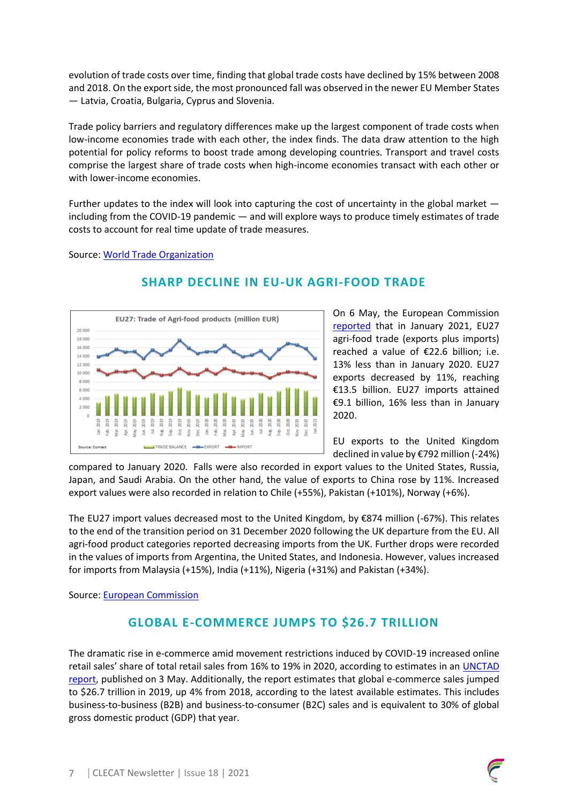evolution of trade costs over time, finding that global trade costs have declined by 15% between 2008 and 2018. On the export side, the most pronounced fall was observed in the newer EU Member States — Latvia, Croatia, Bulgaria, Cyprus and Slovenia.

Trade policy barriers and regulatory differences make up the largest component of trade costs when low-income economies trade with each other, the index finds. The data draw attention to the high potential for policy reforms to boost trade among developing countries. Transport and travel costs comprise the largest share of trade costs when high-income economies transact with each other or with lower-income economies.

Further updates to the index will look into capturing the cost of uncertainty in the global market  $$ including from the COVID-19 pandemic — and will explore ways to produce timely estimates of trade costs to account for real time update of trade measures.

#### Source: [World Trade Organization](https://www.wto.org/english/news_e/news21_e/rese_30apr21_e.htm)



### **SHARP DECLINE IN EU-UK AGRI-FOOD TRADE**

On 6 May, the European Commission [reported](https://ec.europa.eu/info/sites/default/files/food-farming-fisheries/trade/documents/monitoring-agri-food-trade_jan2021_en.pdf) that in January 2021, EU27 agri-food trade (exports plus imports) reached a value of €22.6 billion; i.e. 13% less than in January 2020. EU27 exports decreased by 11%, reaching €13.5 billion. EU27 imports attained €9.1 billion, 16% less than in January 2020.

EU exports to the United Kingdom declined in value by €792 million (-24%)

compared to January 2020. Falls were also recorded in export values to the United States, Russia, Japan, and Saudi Arabia. On the other hand, the value of exports to China rose by 11%. Increased export values were also recorded in relation to Chile (+55%), Pakistan (+101%), Norway (+6%).

The EU27 import values decreased most to the United Kingdom, by €874 million (-67%). This relates to the end of the transition period on 31 December 2020 following the UK departure from the EU. All agri-food product categories reported decreasing imports from the UK. Further drops were recorded in the values of imports from Argentina, the United States, and Indonesia. However, values increased for imports from Malaysia (+15%), India (+11%), Nigeria (+31%) and Pakistan (+34%).

Source: [European Commission](https://ec.europa.eu/info/news/january-2021-sees-decline-agri-food-trade-2021-may-06_en)

# **GLOBAL E-COMMERCE JUMPS TO \$26.7 TRILLION**

The dramatic rise in e-commerce amid movement restrictions induced by COVID-19 increased online retail sales' share of total retail sales from 16% to 19% in 2020, according to estimates in an [UNCTAD](https://unctad.org/system/files/official-document/tn_unctad_ict4d18_en.pdf)  [report,](https://unctad.org/system/files/official-document/tn_unctad_ict4d18_en.pdf) published on 3 May. Additionally, the report estimates that global e-commerce sales jumped to \$26.7 trillion in 2019, up 4% from 2018, according to the latest available estimates. This includes business-to-business (B2B) and business-to-consumer (B2C) sales and is equivalent to 30% of global gross domestic product (GDP) that year.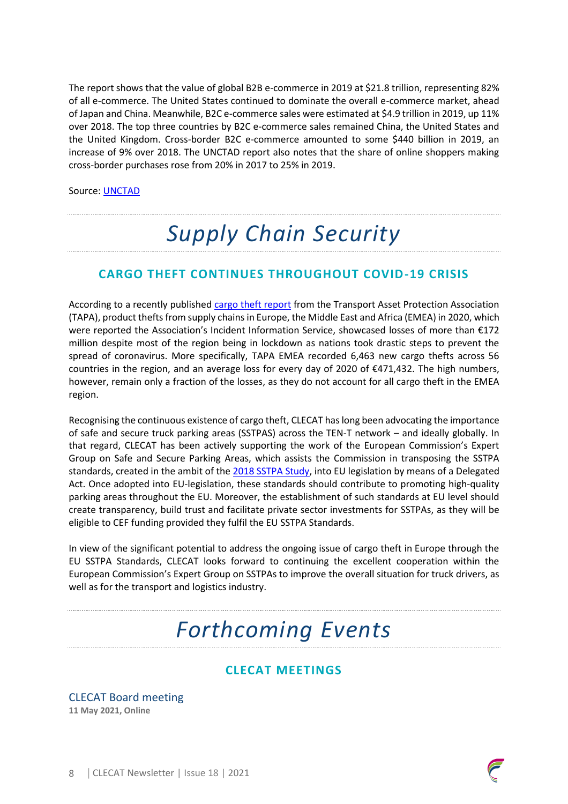The report shows that the value of global B2B e-commerce in 2019 at \$21.8 trillion, representing 82% of all e-commerce. The United States continued to dominate the overall e-commerce market, ahead of Japan and China. Meanwhile, B2C e-commerce sales were estimated at \$4.9 trillion in 2019, up 11% over 2018. The top three countries by B2C e-commerce sales remained China, the United States and the United Kingdom. Cross-border B2C e-commerce amounted to some \$440 billion in 2019, an increase of 9% over 2018. The UNCTAD report also notes that the share of online shoppers making cross-border purchases rose from 20% in 2017 to 25% in 2019.

Source: [UNCTAD](https://unctad.org/news/global-e-commerce-jumps-267-trillion-covid-19-boosts-online-sales)

# *Supply Chain Security*

# **CARGO THEFT CONTINUES THROUGHOUT COVID-19 CRISIS**

According to a recently published [cargo theft report](https://emea.tapa-global.org/news/over-172-million-of-products-stolen-from-supply-chains-in-emea-in-2020) from the Transport Asset Protection Association (TAPA), product thefts from supply chains in Europe, the Middle East and Africa (EMEA) in 2020, which were reported the Association's Incident Information Service, showcased losses of more than €172 million despite most of the region being in lockdown as nations took drastic steps to prevent the spread of coronavirus. More specifically, TAPA EMEA recorded 6,463 new cargo thefts across 56 countries in the region, and an average loss for every day of 2020 of €471,432. The high numbers, however, remain only a fraction of the losses, as they do not account for all cargo theft in the EMEA region.

Recognising the continuous existence of cargo theft, CLECAT has long been advocating the importance of safe and secure truck parking areas (SSTPAS) across the TEN-T network – and ideally globally. In that regard, CLECAT has been actively supporting the work of the European Commission's Expert Group on Safe and Secure Parking Areas, which assists the Commission in transposing the SSTPA standards, created in the ambit of the [2018 SSTPA Study,](https://sstpa.eu-study.eu/) into EU legislation by means of a Delegated Act. Once adopted into EU-legislation, these standards should contribute to promoting high-quality parking areas throughout the EU. Moreover, the establishment of such standards at EU level should create transparency, build trust and facilitate private sector investments for SSTPAs, as they will be eligible to CEF funding provided they fulfil the EU SSTPA Standards.

In view of the significant potential to address the ongoing issue of cargo theft in Europe through the EU SSTPA Standards, CLECAT looks forward to continuing the excellent cooperation within the European Commission's Expert Group on SSTPAs to improve the overall situation for truck drivers, as well as for the transport and logistics industry.

# *Forthcoming Events*

# **CLECAT MEETINGS**

CLECAT Board meeting **11 May 2021, Online**